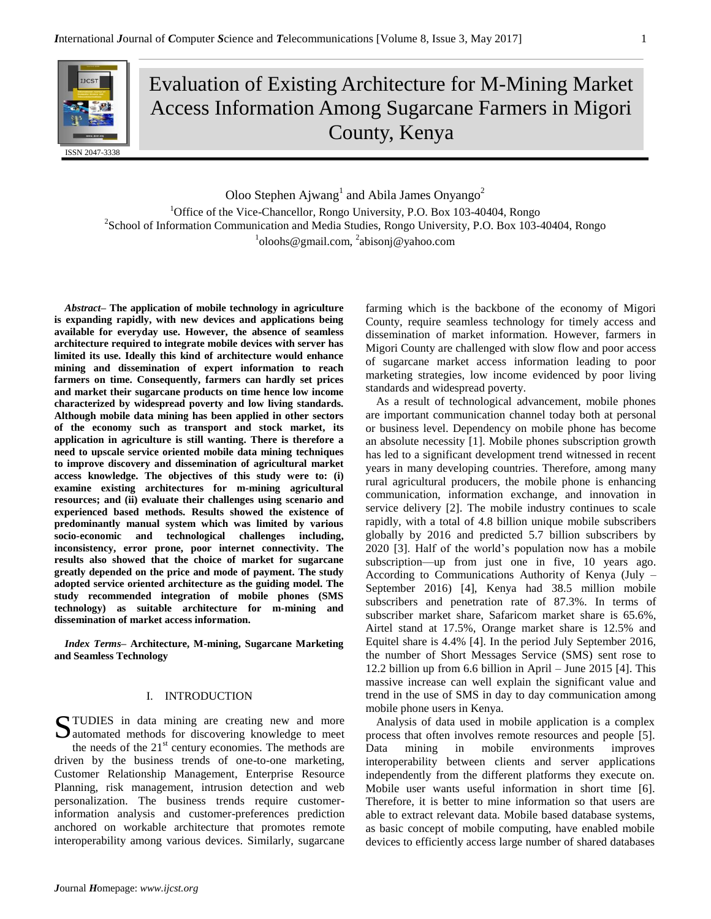

Evaluation of Existing Architecture for M-Mining Market Access Information Among Sugarcane Farmers in Migori County, Kenya

Oloo Stephen Ajwang<sup>1</sup> and Abila James Onyango<sup>2</sup> <sup>1</sup>Office of the Vice-Chancellor, Rongo University, P.O. Box 103-40404, Rongo <sup>2</sup>School of Information Communication and Media Studies, Rongo University, P.O. Box 103-40404, Rongo  $1$ oloohs@gmail.com,  $2$ abisonj@yahoo.com

*Abstract–* **The application of mobile technology in agriculture is expanding rapidly, with new devices and applications being available for everyday use. However, the absence of seamless architecture required to integrate mobile devices with server has limited its use. Ideally this kind of architecture would enhance mining and dissemination of expert information to reach farmers on time. Consequently, farmers can hardly set prices and market their sugarcane products on time hence low income characterized by widespread poverty and low living standards. Although mobile data mining has been applied in other sectors of the economy such as transport and stock market, its application in agriculture is still wanting. There is therefore a need to upscale service oriented mobile data mining techniques to improve discovery and dissemination of agricultural market access knowledge. The objectives of this study were to: (i) examine existing architectures for m-mining agricultural resources; and (ii) evaluate their challenges using scenario and experienced based methods. Results showed the existence of predominantly manual system which was limited by various socio-economic and technological challenges including, inconsistency, error prone, poor internet connectivity. The results also showed that the choice of market for sugarcane greatly depended on the price and mode of payment. The study adopted service oriented architecture as the guiding model. The study recommended integration of mobile phones (SMS technology) as suitable architecture for m-mining and dissemination of market access information.**

*Index Terms–* **Architecture, M-mining, Sugarcane Marketing and Seamless Technology**

# I. INTRODUCTION

TUDIES in data mining are creating new and more STUDIES in data mining are creating new and more automated methods for discovering knowledge to meet the needs of the  $21<sup>st</sup>$  century economies. The methods are driven by the business trends of one-to-one marketing, Customer Relationship Management, Enterprise Resource Planning, risk management, intrusion detection and web personalization. The business trends require customerinformation analysis and customer-preferences prediction anchored on workable architecture that promotes remote interoperability among various devices. Similarly, sugarcane

farming which is the backbone of the economy of Migori County, require seamless technology for timely access and dissemination of market information. However, farmers in Migori County are challenged with slow flow and poor access of sugarcane market access information leading to poor marketing strategies, low income evidenced by poor living standards and widespread poverty.

As a result of technological advancement, mobile phones are important communication channel today both at personal or business level. Dependency on mobile phone has become an absolute necessity [1]. Mobile phones subscription growth has led to a significant development trend witnessed in recent years in many developing countries. Therefore, among many rural agricultural producers, the mobile phone is enhancing communication, information exchange, and innovation in service delivery [2]. The mobile industry continues to scale rapidly, with a total of 4.8 billion unique mobile subscribers globally by 2016 and predicted 5.7 billion subscribers by 2020 [3]. Half of the world's population now has a mobile subscription—up from just one in five, 10 years ago. According to Communications Authority of Kenya (July – September 2016) [4], Kenya had 38.5 million mobile subscribers and penetration rate of 87.3%. In terms of subscriber market share, Safaricom market share is 65.6%, Airtel stand at 17.5%, Orange market share is 12.5% and Equitel share is 4.4% [4]. In the period July September 2016, the number of Short Messages Service (SMS) sent rose to 12.2 billion up from 6.6 billion in April – June 2015 [4]. This massive increase can well explain the significant value and trend in the use of SMS in day to day communication among mobile phone users in Kenya.

Analysis of data used in mobile application is a complex process that often involves remote resources and people [5]. Data mining in mobile environments improves interoperability between clients and server applications independently from the different platforms they execute on. Mobile user wants useful information in short time [6]. Therefore, it is better to mine information so that users are able to extract relevant data. Mobile based database systems, as basic concept of mobile computing, have enabled mobile devices to efficiently access large number of shared databases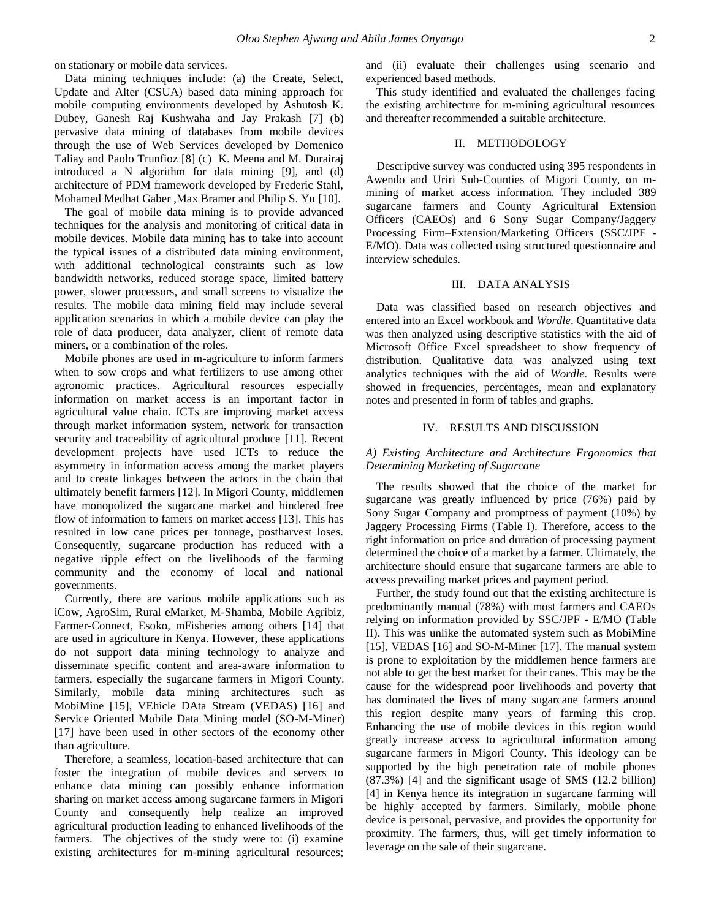on stationary or mobile data services.

Data mining techniques include: (a) the Create, Select, Update and Alter (CSUA) based data mining approach for mobile computing environments developed by Ashutosh K. Dubey, Ganesh Raj Kushwaha and Jay Prakash [7] (b) pervasive data mining of databases from mobile devices through the use of Web Services developed by Domenico Taliay and Paolo Trunfioz [8] (c) K. Meena and M. Durairaj introduced a N algorithm for data mining [9], and (d) architecture of PDM framework developed by Frederic Stahl, Mohamed Medhat Gaber ,Max Bramer and Philip S. Yu [10].

The goal of mobile data mining is to provide advanced techniques for the analysis and monitoring of critical data in mobile devices. Mobile data mining has to take into account the typical issues of a distributed data mining environment, with additional technological constraints such as low bandwidth networks, reduced storage space, limited battery power, slower processors, and small screens to visualize the results. The mobile data mining field may include several application scenarios in which a mobile device can play the role of data producer, data analyzer, client of remote data miners, or a combination of the roles.

Mobile phones are used in m-agriculture to inform farmers when to sow crops and what fertilizers to use among other agronomic practices. Agricultural resources especially information on market access is an important factor in agricultural value chain. ICTs are improving market access through market information system, network for transaction security and traceability of agricultural produce [11]. Recent development projects have used ICTs to reduce the asymmetry in information access among the market players and to create linkages between the actors in the chain that ultimately benefit farmers [12]. In Migori County, middlemen have monopolized the sugarcane market and hindered free flow of information to famers on market access [13]. This has resulted in low cane prices per tonnage, postharvest loses. Consequently, sugarcane production has reduced with a negative ripple effect on the livelihoods of the farming community and the economy of local and national governments.

Currently, there are various mobile applications such as iCow, AgroSim, Rural eMarket, M-Shamba, Mobile Agribiz, Farmer-Connect, Esoko, mFisheries among others [14] that are used in agriculture in Kenya. However, these applications do not support data mining technology to analyze and disseminate specific content and area-aware information to farmers, especially the sugarcane farmers in Migori County. Similarly, mobile data mining architectures such as MobiMine [15], VEhicle DAta Stream (VEDAS) [16] and Service Oriented Mobile Data Mining model (SO-M-Miner) [17] have been used in other sectors of the economy other than agriculture.

Therefore, a seamless, location-based architecture that can foster the integration of mobile devices and servers to enhance data mining can possibly enhance information sharing on market access among sugarcane farmers in Migori County and consequently help realize an improved agricultural production leading to enhanced livelihoods of the farmers. The objectives of the study were to: (i) examine existing architectures for m-mining agricultural resources; and (ii) evaluate their challenges using scenario and experienced based methods.

This study identified and evaluated the challenges facing the existing architecture for m-mining agricultural resources and thereafter recommended a suitable architecture.

## II. METHODOLOGY

Descriptive survey was conducted using 395 respondents in Awendo and Uriri Sub-Counties of Migori County, on mmining of market access information. They included 389 sugarcane farmers and County Agricultural Extension Officers (CAEOs) and 6 Sony Sugar Company/Jaggery Processing Firm–Extension/Marketing Officers (SSC/JPF - E/MO). Data was collected using structured questionnaire and interview schedules.

#### III. DATA ANALYSIS

Data was classified based on research objectives and entered into an Excel workbook and *Wordle*. Quantitative data was then analyzed using descriptive statistics with the aid of Microsoft Office Excel spreadsheet to show frequency of distribution. Qualitative data was analyzed using text analytics techniques with the aid of *Wordle.* Results were showed in frequencies, percentages, mean and explanatory notes and presented in form of tables and graphs.

## IV. RESULTS AND DISCUSSION

## *A) Existing Architecture and Arc*h*itecture Ergonomics that Determining Marketing of Sugarcane*

The results showed that the choice of the market for sugarcane was greatly influenced by price (76%) paid by Sony Sugar Company and promptness of payment (10%) by Jaggery Processing Firms (Table I). Therefore, access to the right information on price and duration of processing payment determined the choice of a market by a farmer. Ultimately, the architecture should ensure that sugarcane farmers are able to access prevailing market prices and payment period.

Further, the study found out that the existing architecture is predominantly manual (78%) with most farmers and CAEOs relying on information provided by SSC/JPF - E/MO (Table II). This was unlike the automated system such as MobiMine [15], VEDAS [16] and SO-M-Miner [17]. The manual system is prone to exploitation by the middlemen hence farmers are not able to get the best market for their canes. This may be the cause for the widespread poor livelihoods and poverty that has dominated the lives of many sugarcane farmers around this region despite many years of farming this crop. Enhancing the use of mobile devices in this region would greatly increase access to agricultural information among sugarcane farmers in Migori County. This ideology can be supported by the high penetration rate of mobile phones (87.3%) [4] and the significant usage of SMS (12.2 billion) [4] in Kenya hence its integration in sugarcane farming will be highly accepted by farmers. Similarly, mobile phone device is personal, pervasive, and provides the opportunity for proximity. The farmers, thus, will get timely information to leverage on the sale of their sugarcane.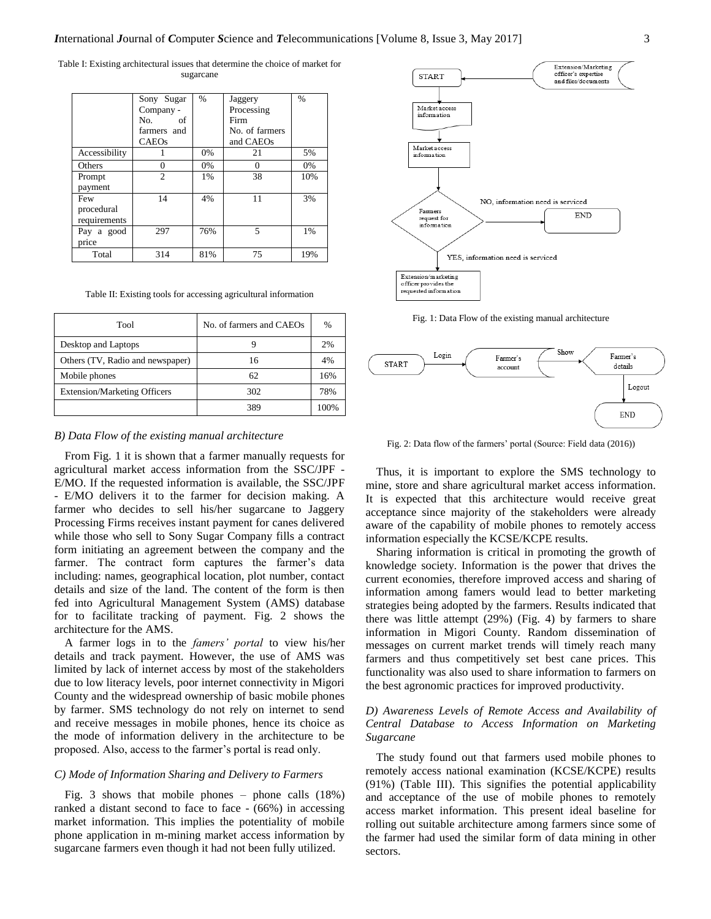Table I: Existing architectural issues that determine the choice of market for sugarcane

|               | Sony Sugar     | $\frac{0}{0}$ | Jaggery        | $\%$  |
|---------------|----------------|---------------|----------------|-------|
|               | Company -      |               | Processing     |       |
|               | No.<br>of      |               | Firm           |       |
|               | farmers and    |               | No. of farmers |       |
|               | <b>CAEOs</b>   |               | and CAEOs      |       |
| Accessibility |                | 0%            | 21             | 5%    |
| Others        | 0              | 0%            | $\Omega$       | $0\%$ |
| Prompt        | $\mathfrak{D}$ | 1%            | 38             | 10%   |
| payment       |                |               |                |       |
| Few           | 14             | 4%            | 11             | 3%    |
| procedural    |                |               |                |       |
| requirements  |                |               |                |       |
| Pay a good    | 297            | 76%           | 5              | 1%    |
| price         |                |               |                |       |
| Total         | 314            | 81%           | 75             | 19%   |

Table II: Existing tools for accessing agricultural information

| Tool                                | No. of farmers and CAEOs | $\%$ |
|-------------------------------------|--------------------------|------|
| Desktop and Laptops                 |                          | 2%   |
| Others (TV, Radio and newspaper)    | 16                       | 4%   |
| Mobile phones                       | 62                       | 16%  |
| <b>Extension/Marketing Officers</b> | 302                      | 78%  |
|                                     | 389                      | 100% |

#### *B) Data Flow of the existing manual architecture*

From Fig. 1 it is shown that a farmer manually requests for agricultural market access information from the SSC/JPF - E/MO. If the requested information is available, the SSC/JPF - E/MO delivers it to the farmer for decision making. A farmer who decides to sell his/her sugarcane to Jaggery Processing Firms receives instant payment for canes delivered while those who sell to Sony Sugar Company fills a contract form initiating an agreement between the company and the farmer. The contract form captures the farmer's data including: names, geographical location, plot number, contact details and size of the land. The content of the form is then fed into Agricultural Management System (AMS) database for to facilitate tracking of payment. Fig. 2 shows the architecture for the AMS.

A farmer logs in to the *famers' portal* to view his/her details and track payment. However, the use of AMS was limited by lack of internet access by most of the stakeholders due to low literacy levels, poor internet connectivity in Migori County and the widespread ownership of basic mobile phones by farmer. SMS technology do not rely on internet to send and receive messages in mobile phones, hence its choice as the mode of information delivery in the architecture to be proposed. Also, access to the farmer's portal is read only.

#### *C) Mode of Information Sharing and Delivery to Farmers*

Fig. 3 shows that mobile phones – phone calls (18%) ranked a distant second to face to face - (66%) in accessing market information. This implies the potentiality of mobile phone application in m-mining market access information by sugarcane farmers even though it had not been fully utilized.



Fig. 1: Data Flow of the existing manual architecture



Fig. 2: Data flow of the farmers' portal (Source: Field data (2016))

Thus, it is important to explore the SMS technology to mine, store and share agricultural market access information. It is expected that this architecture would receive great acceptance since majority of the stakeholders were already aware of the capability of mobile phones to remotely access information especially the KCSE/KCPE results.

Sharing information is critical in promoting the growth of knowledge society. Information is the power that drives the current economies, therefore improved access and sharing of information among famers would lead to better marketing strategies being adopted by the farmers. Results indicated that there was little attempt (29%) (Fig. 4) by farmers to share information in Migori County. Random dissemination of messages on current market trends will timely reach many farmers and thus competitively set best cane prices. This functionality was also used to share information to farmers on the best agronomic practices for improved productivity.

### *D) Awareness Levels of Remote Access and Availability of Central Database to Access Information on Marketing Sugarcane*

The study found out that farmers used mobile phones to remotely access national examination (KCSE/KCPE) results (91%) (Table III). This signifies the potential applicability and acceptance of the use of mobile phones to remotely access market information. This present ideal baseline for rolling out suitable architecture among farmers since some of the farmer had used the similar form of data mining in other sectors.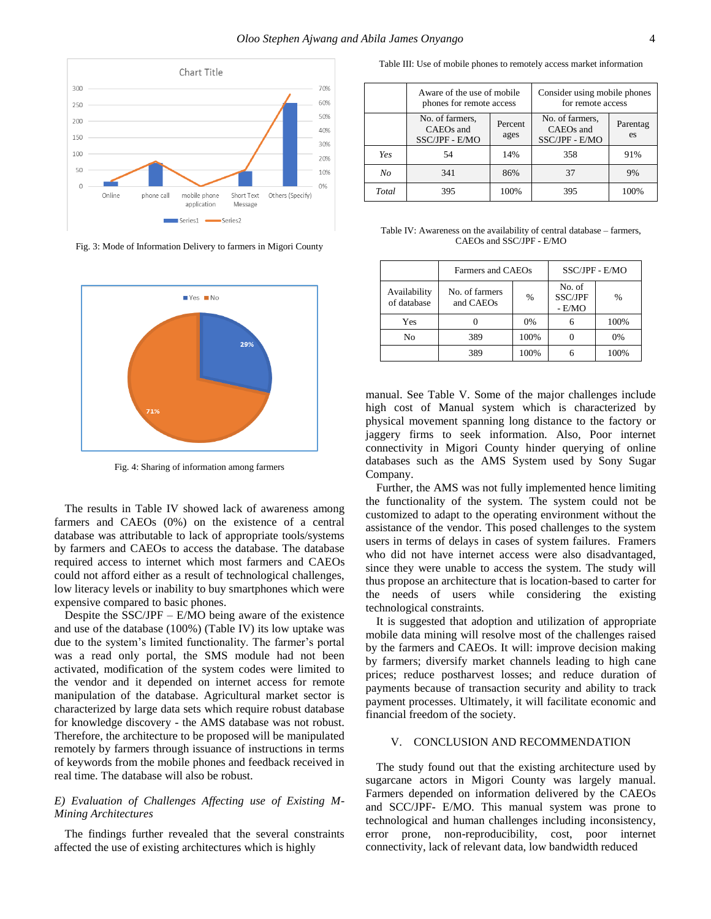

Fig. 3: Mode of Information Delivery to farmers in Migori County



Fig. 4: Sharing of information among farmers

The results in Table IV showed lack of awareness among farmers and CAEOs (0%) on the existence of a central database was attributable to lack of appropriate tools/systems by farmers and CAEOs to access the database. The database required access to internet which most farmers and CAEOs could not afford either as a result of technological challenges, low literacy levels or inability to buy smartphones which were expensive compared to basic phones.

Despite the SSC/JPF – E/MO being aware of the existence and use of the database (100%) (Table IV) its low uptake was due to the system's limited functionality. The farmer's portal was a read only portal, the SMS module had not been activated, modification of the system codes were limited to the vendor and it depended on internet access for remote manipulation of the database. Agricultural market sector is characterized by large data sets which require robust database for knowledge discovery - the AMS database was not robust. Therefore, the architecture to be proposed will be manipulated remotely by farmers through issuance of instructions in terms of keywords from the mobile phones and feedback received in real time. The database will also be robust.

# *E) Evaluation of Challenges Affecting use of Existing M-Mining Architectures*

The findings further revealed that the several constraints affected the use of existing architectures which is highly

Table III: Use of mobile phones to remotely access market information

|       | Aware of the use of mobile<br>phones for remote access |                 | Consider using mobile phones<br>for remote access          |                |  |
|-------|--------------------------------------------------------|-----------------|------------------------------------------------------------|----------------|--|
|       | No. of farmers.<br>CAEOs and<br>SSC/JPF - E/MO         | Percent<br>ages | No. of farmers,<br>CAEO <sub>s</sub> and<br>SSC/JPF - E/MO | Parentag<br>es |  |
| Yes   | 54                                                     | 14%             | 358                                                        | 91%            |  |
| No    | 341                                                    | 86%             | 37                                                         | 9%             |  |
| Total | 395                                                    | 100%            | 395                                                        | 100%           |  |

Table IV: Awareness on the availability of central database – farmers, CAEOs and SSC/JPF - E/MO

|                             | Farmers and CAEOs           | SSC/JPF - E/MO |                                     |      |  |
|-----------------------------|-----------------------------|----------------|-------------------------------------|------|--|
| Availability<br>of database | No. of farmers<br>and CAEOs | $\%$           | No. of<br><b>SSC/JPF</b><br>$-E/MO$ | $\%$ |  |
| Yes                         |                             | 0%             |                                     | 100% |  |
| No                          | 389                         | 100%           |                                     | 0%   |  |
|                             | 389                         | 100%           |                                     | 100% |  |

manual. See Table V. Some of the major challenges include high cost of Manual system which is characterized by physical movement spanning long distance to the factory or jaggery firms to seek information. Also, Poor internet connectivity in Migori County hinder querying of online databases such as the AMS System used by Sony Sugar Company.

Further, the AMS was not fully implemented hence limiting the functionality of the system. The system could not be customized to adapt to the operating environment without the assistance of the vendor. This posed challenges to the system users in terms of delays in cases of system failures. Framers who did not have internet access were also disadvantaged, since they were unable to access the system. The study will thus propose an architecture that is location-based to carter for the needs of users while considering the existing technological constraints.

It is suggested that adoption and utilization of appropriate mobile data mining will resolve most of the challenges raised by the farmers and CAEOs. It will: improve decision making by farmers; diversify market channels leading to high cane prices; reduce postharvest losses; and reduce duration of payments because of transaction security and ability to track payment processes. Ultimately, it will facilitate economic and financial freedom of the society.

## V. CONCLUSION AND RECOMMENDATION

The study found out that the existing architecture used by sugarcane actors in Migori County was largely manual. Farmers depended on information delivered by the CAEOs and SCC/JPF- E/MO. This manual system was prone to technological and human challenges including inconsistency, error prone, non-reproducibility, cost, poor internet connectivity, lack of relevant data, low bandwidth reduced